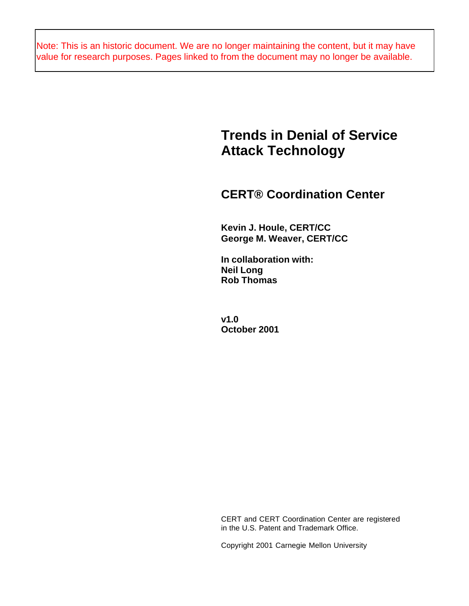Note: This is an historic document. We are no longer maintaining the content, but it may have value for research purposes. Pages linked to from the document may no longer be available.

# **Trends in Denial of Service Attack Technology**

## **CERT® Coordination Center**

**Kevin J. Houle, CERT/CC George M. Weaver, CERT/CC**

**In collaboration with: Neil Long Rob Thomas**

**v1.0 October 2001**

CERT and CERT Coordination Center are registered in the U.S. Patent and Trademark Office.

Copyright 2001 Carnegie Mellon University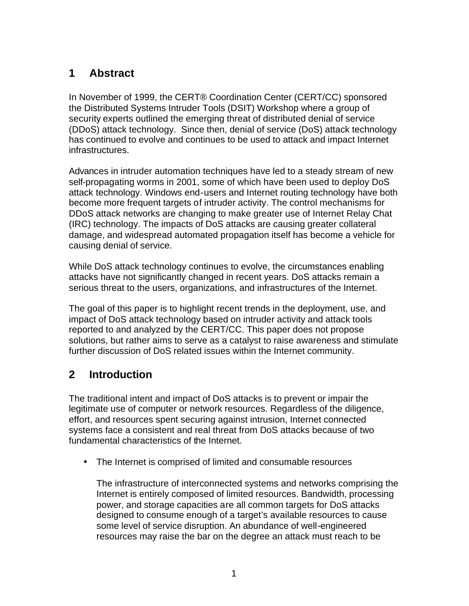## **1 Abstract**

In November of 1999, the CERT® Coordination Center (CERT/CC) sponsored the Distributed Systems Intruder Tools (DSIT) Workshop where a group of security experts outlined the emerging threat of distributed denial of service (DDoS) attack technology. Since then, denial of service (DoS) attack technology has continued to evolve and continues to be used to attack and impact Internet infrastructures.

Advances in intruder automation techniques have led to a steady stream of new self-propagating worms in 2001, some of which have been used to deploy DoS attack technology. Windows end-users and Internet routing technology have both become more frequent targets of intruder activity. The control mechanisms for DDoS attack networks are changing to make greater use of Internet Relay Chat (IRC) technology. The impacts of DoS attacks are causing greater collateral damage, and widespread automated propagation itself has become a vehicle for causing denial of service.

While DoS attack technology continues to evolve, the circumstances enabling attacks have not significantly changed in recent years. DoS attacks remain a serious threat to the users, organizations, and infrastructures of the Internet.

The goal of this paper is to highlight recent trends in the deployment, use, and impact of DoS attack technology based on intruder activity and attack tools reported to and analyzed by the CERT/CC. This paper does not propose solutions, but rather aims to serve as a catalyst to raise awareness and stimulate further discussion of DoS related issues within the Internet community.

## **2 Introduction**

The traditional intent and impact of DoS attacks is to prevent or impair the legitimate use of computer or network resources. Regardless of the diligence, effort, and resources spent securing against intrusion, Internet connected systems face a consistent and real threat from DoS attacks because of two fundamental characteristics of the Internet.

• The Internet is comprised of limited and consumable resources

The infrastructure of interconnected systems and networks comprising the Internet is entirely composed of limited resources. Bandwidth, processing power, and storage capacities are all common targets for DoS attacks designed to consume enough of a target's available resources to cause some level of service disruption. An abundance of well-engineered resources may raise the bar on the degree an attack must reach to be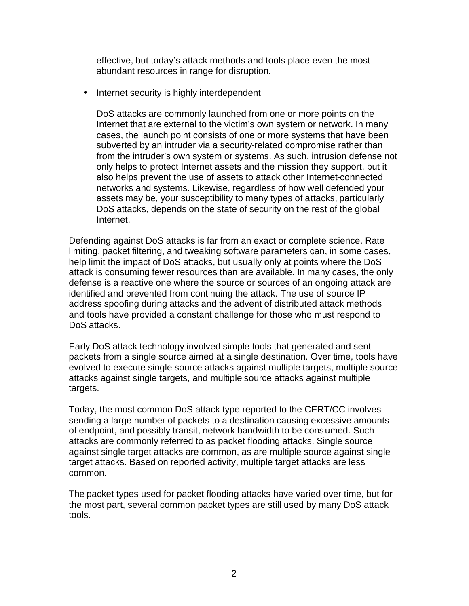effective, but today's attack methods and tools place even the most abundant resources in range for disruption.

• Internet security is highly interdependent

DoS attacks are commonly launched from one or more points on the Internet that are external to the victim's own system or network. In many cases, the launch point consists of one or more systems that have been subverted by an intruder via a security-related compromise rather than from the intruder's own system or systems. As such, intrusion defense not only helps to protect Internet assets and the mission they support, but it also helps prevent the use of assets to attack other Internet-connected networks and systems. Likewise, regardless of how well defended your assets may be, your susceptibility to many types of attacks, particularly DoS attacks, depends on the state of security on the rest of the global Internet.

Defending against DoS attacks is far from an exact or complete science. Rate limiting, packet filtering, and tweaking software parameters can, in some cases, help limit the impact of DoS attacks, but usually only at points where the DoS attack is consuming fewer resources than are available. In many cases, the only defense is a reactive one where the source or sources of an ongoing attack are identified and prevented from continuing the attack. The use of source IP address spoofing during attacks and the advent of distributed attack methods and tools have provided a constant challenge for those who must respond to DoS attacks.

Early DoS attack technology involved simple tools that generated and sent packets from a single source aimed at a single destination. Over time, tools have evolved to execute single source attacks against multiple targets, multiple source attacks against single targets, and multiple source attacks against multiple targets.

Today, the most common DoS attack type reported to the CERT/CC involves sending a large number of packets to a destination causing excessive amounts of endpoint, and possibly transit, network bandwidth to be consumed. Such attacks are commonly referred to as packet flooding attacks. Single source against single target attacks are common, as are multiple source against single target attacks. Based on reported activity, multiple target attacks are less common.

The packet types used for packet flooding attacks have varied over time, but for the most part, several common packet types are still used by many DoS attack tools.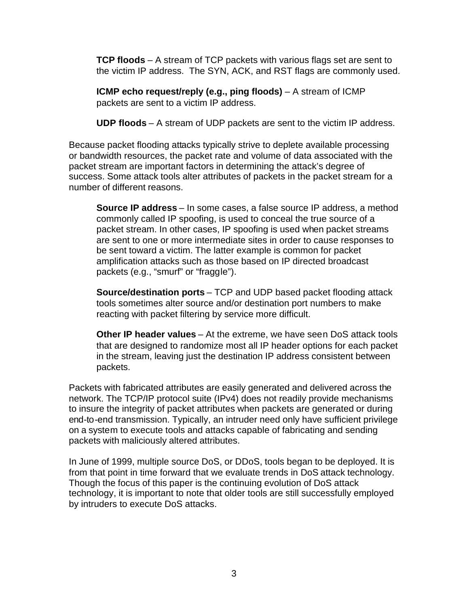**TCP floods** – A stream of TCP packets with various flags set are sent to the victim IP address. The SYN, ACK, and RST flags are commonly used.

**ICMP echo request/reply (e.g., ping floods)** – A stream of ICMP packets are sent to a victim IP address.

**UDP floods** – A stream of UDP packets are sent to the victim IP address.

Because packet flooding attacks typically strive to deplete available processing or bandwidth resources, the packet rate and volume of data associated with the packet stream are important factors in determining the attack's degree of success. Some attack tools alter attributes of packets in the packet stream for a number of different reasons.

**Source IP address** – In some cases, a false source IP address, a method commonly called IP spoofing, is used to conceal the true source of a packet stream. In other cases, IP spoofing is used when packet streams are sent to one or more intermediate sites in order to cause responses to be sent toward a victim. The latter example is common for packet amplification attacks such as those based on IP directed broadcast packets (e.g., "smurf" or "fraggle").

**Source/destination ports** – TCP and UDP based packet flooding attack tools sometimes alter source and/or destination port numbers to make reacting with packet filtering by service more difficult.

**Other IP header values** – At the extreme, we have seen DoS attack tools that are designed to randomize most all IP header options for each packet in the stream, leaving just the destination IP address consistent between packets.

Packets with fabricated attributes are easily generated and delivered across the network. The TCP/IP protocol suite (IPv4) does not readily provide mechanisms to insure the integrity of packet attributes when packets are generated or during end-to-end transmission. Typically, an intruder need only have sufficient privilege on a system to execute tools and attacks capable of fabricating and sending packets with maliciously altered attributes.

In June of 1999, multiple source DoS, or DDoS, tools began to be deployed. It is from that point in time forward that we evaluate trends in DoS attack technology. Though the focus of this paper is the continuing evolution of DoS attack technology, it is important to note that older tools are still successfully employed by intruders to execute DoS attacks.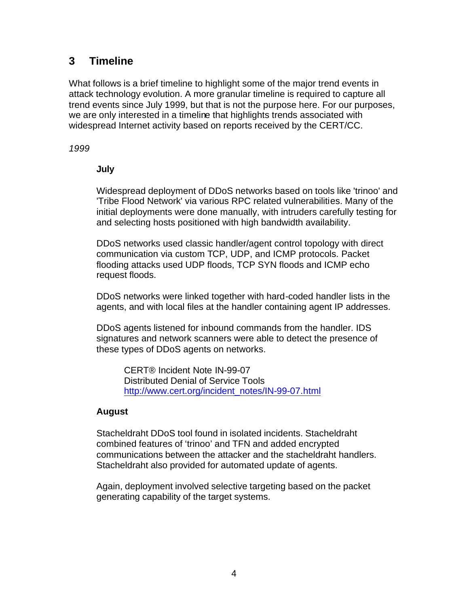## **3 Timeline**

What follows is a brief timeline to highlight some of the major trend events in attack technology evolution. A more granular timeline is required to capture all trend events since July 1999, but that is not the purpose here. For our purposes, we are only interested in a timeline that highlights trends associated with widespread Internet activity based on reports received by the CERT/CC.

## *1999*

## **July**

Widespread deployment of DDoS networks based on tools like 'trinoo' and 'Tribe Flood Network' via various RPC related vulnerabilities. Many of the initial deployments were done manually, with intruders carefully testing for and selecting hosts positioned with high bandwidth availability.

DDoS networks used classic handler/agent control topology with direct communication via custom TCP, UDP, and ICMP protocols. Packet flooding attacks used UDP floods, TCP SYN floods and ICMP echo request floods.

DDoS networks were linked together with hard-coded handler lists in the agents, and with local files at the handler containing agent IP addresses.

DDoS agents listened for inbound commands from the handler. IDS signatures and network scanners were able to detect the presence of these types of DDoS agents on networks.

CERT® Incident Note IN-99-07 Distributed Denial of Service Tools http://www.cert.org/incident\_notes/IN-99-07.html

## **August**

Stacheldraht DDoS tool found in isolated incidents. Stacheldraht combined features of 'trinoo' and TFN and added encrypted communications between the attacker and the stacheldraht handlers. Stacheldraht also provided for automated update of agents.

Again, deployment involved selective targeting based on the packet generating capability of the target systems.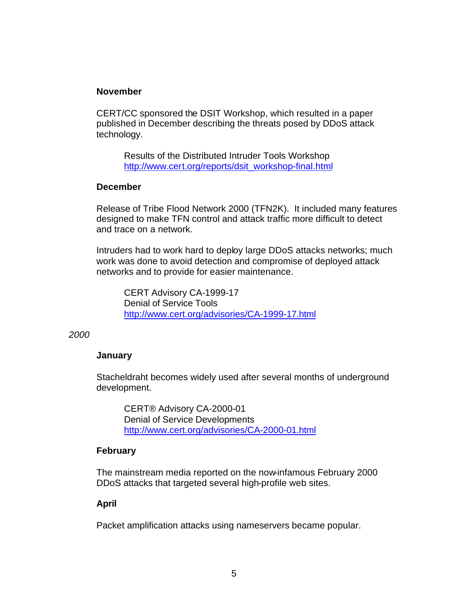### **November**

CERT/CC sponsored the DSIT Workshop, which resulted in a paper published in December describing the threats posed by DDoS attack technology.

Results of the Distributed Intruder Tools Workshop http://www.cert.org/reports/dsit\_workshop-final.html

#### **December**

Release of Tribe Flood Network 2000 (TFN2K). It included many features designed to make TFN control and attack traffic more difficult to detect and trace on a network.

Intruders had to work hard to deploy large DDoS attacks networks; much work was done to avoid detection and compromise of deployed attack networks and to provide for easier maintenance.

CERT Advisory CA-1999-17 Denial of Service Tools http://www.cert.org/advisories/CA-1999-17.html

#### *2000*

## **January**

Stacheldraht becomes widely used after several months of underground development.

CERT® Advisory CA-2000-01 Denial of Service Developments http://www.cert.org/advisories/CA-2000-01.html

## **February**

The mainstream media reported on the now-infamous February 2000 DDoS attacks that targeted several high-profile web sites.

## **April**

Packet amplification attacks using nameservers became popular.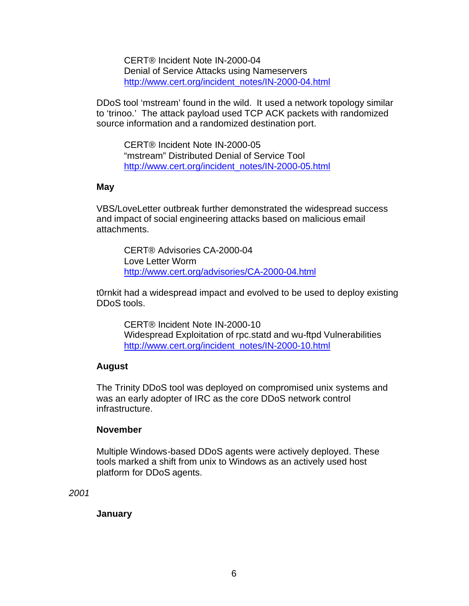CERT® Incident Note IN-2000-04 Denial of Service Attacks using Nameservers http://www.cert.org/incident\_notes/IN-2000-04.html

DDoS tool 'mstream' found in the wild. It used a network topology similar to 'trinoo.' The attack payload used TCP ACK packets with randomized source information and a randomized destination port.

CERT® Incident Note IN-2000-05 "mstream" Distributed Denial of Service Tool http://www.cert.org/incident\_notes/IN-2000-05.html

#### **May**

VBS/LoveLetter outbreak further demonstrated the widespread success and impact of social engineering attacks based on malicious email attachments.

CERT® Advisories CA-2000-04 Love Letter Worm http://www.cert.org/advisories/CA-2000-04.html

t0rnkit had a widespread impact and evolved to be used to deploy existing DDoS tools.

CERT® Incident Note IN-2000-10 Widespread Exploitation of rpc.statd and wu-ftpd Vulnerabilities http://www.cert.org/incident\_notes/IN-2000-10.html

#### **August**

The Trinity DDoS tool was deployed on compromised unix systems and was an early adopter of IRC as the core DDoS network control infrastructure.

#### **November**

Multiple Windows-based DDoS agents were actively deployed. These tools marked a shift from unix to Windows as an actively used host platform for DDoS agents.

*2001*

**January**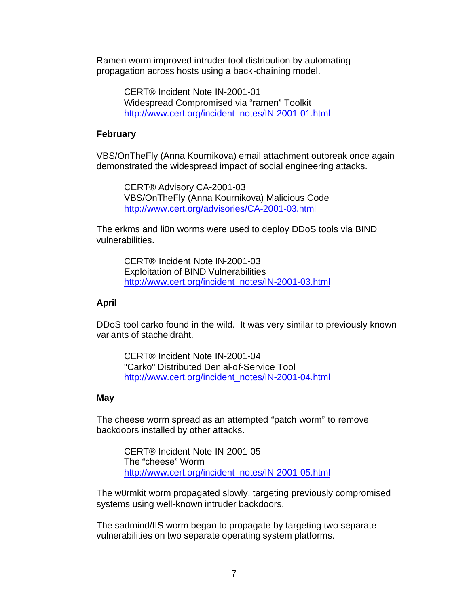Ramen worm improved intruder tool distribution by automating propagation across hosts using a back-chaining model.

> CERT® Incident Note IN-2001-01 Widespread Compromised via "ramen" Toolkit http://www.cert.org/incident\_notes/IN-2001-01.html

#### **February**

VBS/OnTheFly (Anna Kournikova) email attachment outbreak once again demonstrated the widespread impact of social engineering attacks.

CERT® Advisory CA-2001-03 VBS/OnTheFly (Anna Kournikova) Malicious Code http://www.cert.org/advisories/CA-2001-03.html

The erkms and li0n worms were used to deploy DDoS tools via BIND vulnerabilities.

CERT® Incident Note IN-2001-03 Exploitation of BIND Vulnerabilities http://www.cert.org/incident\_notes/IN-2001-03.html

#### **April**

DDoS tool carko found in the wild. It was very similar to previously known variants of stacheldraht.

CERT® Incident Note IN-2001-04 "Carko" Distributed Denial-of-Service Tool http://www.cert.org/incident\_notes/IN-2001-04.html

#### **May**

The cheese worm spread as an attempted "patch worm" to remove backdoors installed by other attacks.

> CERT® Incident Note IN-2001-05 The "cheese" Worm http://www.cert.org/incident\_notes/IN-2001-05.html

The w0rmkit worm propagated slowly, targeting previously compromised systems using well-known intruder backdoors.

The sadmind/IIS worm began to propagate by targeting two separate vulnerabilities on two separate operating system platforms.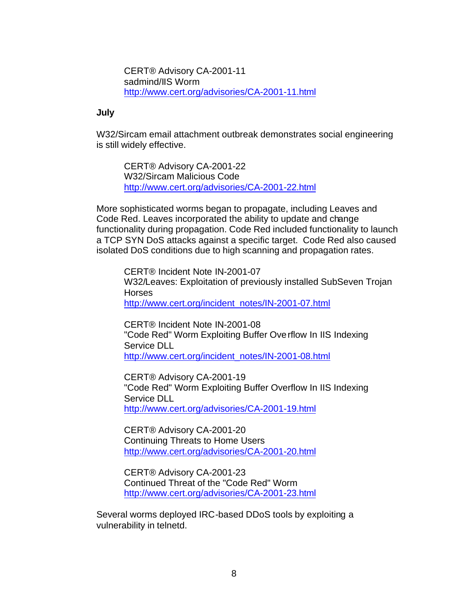CERT® Advisory CA-2001-11 sadmind/IIS Worm http://www.cert.org/advisories/CA-2001-11.html

#### **July**

W32/Sircam email attachment outbreak demonstrates social engineering is still widely effective.

CERT® Advisory CA-2001-22 W32/Sircam Malicious Code http://www.cert.org/advisories/CA-2001-22.html

More sophisticated worms began to propagate, including Leaves and Code Red. Leaves incorporated the ability to update and change functionality during propagation. Code Red included functionality to launch a TCP SYN DoS attacks against a specific target. Code Red also caused isolated DoS conditions due to high scanning and propagation rates.

CERT® Incident Note IN-2001-07 W32/Leaves: Exploitation of previously installed SubSeven Trojan **Horses** http://www.cert.org/incident\_notes/IN-2001-07.html

CERT® Incident Note IN-2001-08 "Code Red" Worm Exploiting Buffer Overflow In IIS Indexing Service DLL http://www.cert.org/incident\_notes/IN-2001-08.html

CERT® Advisory CA-2001-19 "Code Red" Worm Exploiting Buffer Overflow In IIS Indexing Service DLL http://www.cert.org/advisories/CA-2001-19.html

CERT® Advisory CA-2001-20 Continuing Threats to Home Users http://www.cert.org/advisories/CA-2001-20.html

CERT® Advisory CA-2001-23 Continued Threat of the "Code Red" Worm http://www.cert.org/advisories/CA-2001-23.html

Several worms deployed IRC-based DDoS tools by exploiting a vulnerability in telnetd.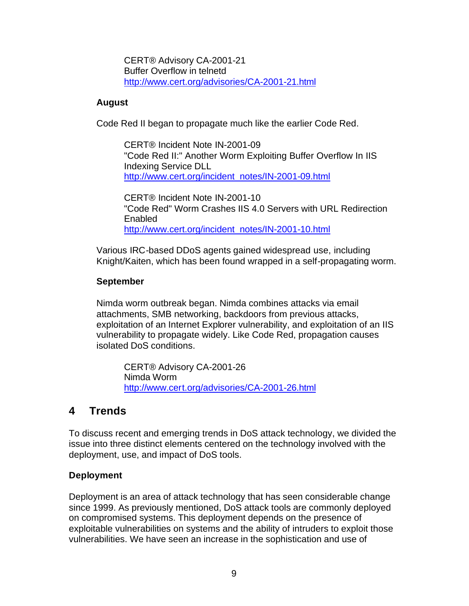CERT® Advisory CA-2001-21 Buffer Overflow in telnetd http://www.cert.org/advisories/CA-2001-21.html

### **August**

Code Red II began to propagate much like the earlier Code Red.

CERT® Incident Note IN-2001-09 "Code Red II:" Another Worm Exploiting Buffer Overflow In IIS Indexing Service DLL http://www.cert.org/incident\_notes/IN-2001-09.html

CERT® Incident Note IN-2001-10 "Code Red" Worm Crashes IIS 4.0 Servers with URL Redirection Enabled http://www.cert.org/incident\_notes/IN-2001-10.html

Various IRC-based DDoS agents gained widespread use, including Knight/Kaiten, which has been found wrapped in a self-propagating worm.

### **September**

Nimda worm outbreak began. Nimda combines attacks via email attachments, SMB networking, backdoors from previous attacks, exploitation of an Internet Explorer vulnerability, and exploitation of an IIS vulnerability to propagate widely. Like Code Red, propagation causes isolated DoS conditions.

CERT® Advisory CA-2001-26 Nimda Worm http://www.cert.org/advisories/CA-2001-26.html

## **4 Trends**

To discuss recent and emerging trends in DoS attack technology, we divided the issue into three distinct elements centered on the technology involved with the deployment, use, and impact of DoS tools.

## **Deployment**

Deployment is an area of attack technology that has seen considerable change since 1999. As previously mentioned, DoS attack tools are commonly deployed on compromised systems. This deployment depends on the presence of exploitable vulnerabilities on systems and the ability of intruders to exploit those vulnerabilities. We have seen an increase in the sophistication and use of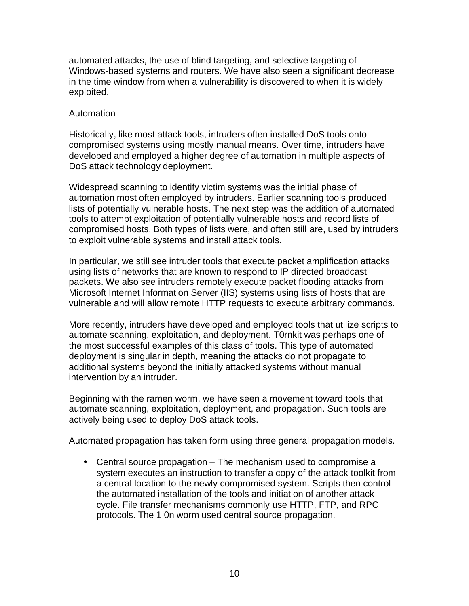automated attacks, the use of blind targeting, and selective targeting of Windows-based systems and routers. We have also seen a significant decrease in the time window from when a vulnerability is discovered to when it is widely exploited.

## Automation

Historically, like most attack tools, intruders often installed DoS tools onto compromised systems using mostly manual means. Over time, intruders have developed and employed a higher degree of automation in multiple aspects of DoS attack technology deployment.

Widespread scanning to identify victim systems was the initial phase of automation most often employed by intruders. Earlier scanning tools produced lists of potentially vulnerable hosts. The next step was the addition of automated tools to attempt exploitation of potentially vulnerable hosts and record lists of compromised hosts. Both types of lists were, and often still are, used by intruders to exploit vulnerable systems and install attack tools.

In particular, we still see intruder tools that execute packet amplification attacks using lists of networks that are known to respond to IP directed broadcast packets. We also see intruders remotely execute packet flooding attacks from Microsoft Internet Information Server (IIS) systems using lists of hosts that are vulnerable and will allow remote HTTP requests to execute arbitrary commands.

More recently, intruders have developed and employed tools that utilize scripts to automate scanning, exploitation, and deployment. T0rnkit was perhaps one of the most successful examples of this class of tools. This type of automated deployment is singular in depth, meaning the attacks do not propagate to additional systems beyond the initially attacked systems without manual intervention by an intruder.

Beginning with the ramen worm, we have seen a movement toward tools that automate scanning, exploitation, deployment, and propagation. Such tools are actively being used to deploy DoS attack tools.

Automated propagation has taken form using three general propagation models.

• Central source propagation – The mechanism used to compromise a system executes an instruction to transfer a copy of the attack toolkit from a central location to the newly compromised system. Scripts then control the automated installation of the tools and initiation of another attack cycle. File transfer mechanisms commonly use HTTP, FTP, and RPC protocols. The 1i0n worm used central source propagation.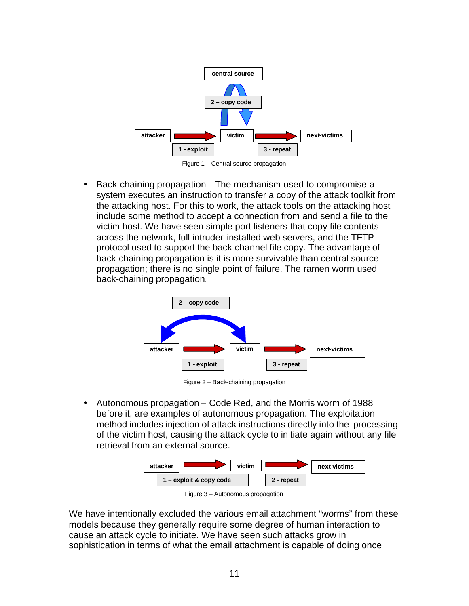

Figure 1 – Central source propagation

• Back-chaining propagation– The mechanism used to compromise a system executes an instruction to transfer a copy of the attack toolkit from the attacking host. For this to work, the attack tools on the attacking host include some method to accept a connection from and send a file to the victim host. We have seen simple port listeners that copy file contents across the network, full intruder-installed web servers, and the TFTP protocol used to support the back-channel file copy. The advantage of back-chaining propagation is it is more survivable than central source propagation; there is no single point of failure. The ramen worm used back-chaining propagation.



Figure 2 – Back-chaining propagation

• Autonomous propagation – Code Red, and the Morris worm of 1988 before it, are examples of autonomous propagation. The exploitation method includes injection of attack instructions directly into the processing of the victim host, causing the attack cycle to initiate again without any file retrieval from an external source.



Figure 3 – Autonomous propagation

We have intentionally excluded the various email attachment "worms" from these models because they generally require some degree of human interaction to cause an attack cycle to initiate. We have seen such attacks grow in sophistication in terms of what the email attachment is capable of doing once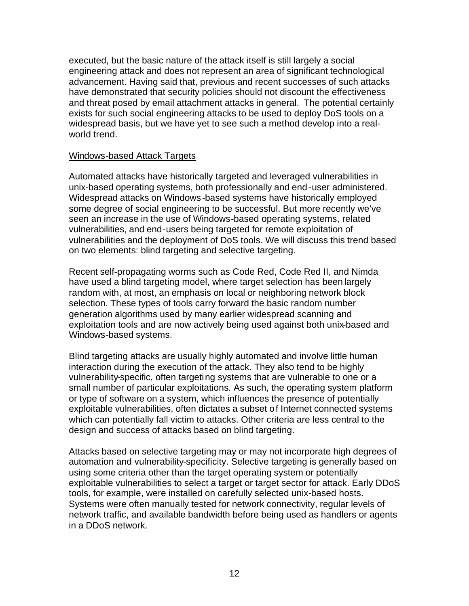executed, but the basic nature of the attack itself is still largely a social engineering attack and does not represent an area of significant technological advancement. Having said that, previous and recent successes of such attacks have demonstrated that security policies should not discount the effectiveness and threat posed by email attachment attacks in general. The potential certainly exists for such social engineering attacks to be used to deploy DoS tools on a widespread basis, but we have yet to see such a method develop into a realworld trend.

### Windows-based Attack Targets

Automated attacks have historically targeted and leveraged vulnerabilities in unix-based operating systems, both professionally and end-user administered. Widespread attacks on Windows-based systems have historically employed some degree of social engineering to be successful. But more recently we've seen an increase in the use of Windows-based operating systems, related vulnerabilities, and end-users being targeted for remote exploitation of vulnerabilities and the deployment of DoS tools. We will discuss this trend based on two elements: blind targeting and selective targeting.

Recent self-propagating worms such as Code Red, Code Red II, and Nimda have used a blind targeting model, where target selection has been largely random with, at most, an emphasis on local or neighboring network block selection. These types of tools carry forward the basic random number generation algorithms used by many earlier widespread scanning and exploitation tools and are now actively being used against both unix-based and Windows-based systems.

Blind targeting attacks are usually highly automated and involve little human interaction during the execution of the attack. They also tend to be highly vulnerability-specific, often targeting systems that are vulnerable to one or a small number of particular exploitations. As such, the operating system platform or type of software on a system, which influences the presence of potentially exploitable vulnerabilities, often dictates a subset of Internet connected systems which can potentially fall victim to attacks. Other criteria are less central to the design and success of attacks based on blind targeting.

Attacks based on selective targeting may or may not incorporate high degrees of automation and vulnerability-specificity. Selective targeting is generally based on using some criteria other than the target operating system or potentially exploitable vulnerabilities to select a target or target sector for attack. Early DDoS tools, for example, were installed on carefully selected unix-based hosts. Systems were often manually tested for network connectivity, regular levels of network traffic, and available bandwidth before being used as handlers or agents in a DDoS network.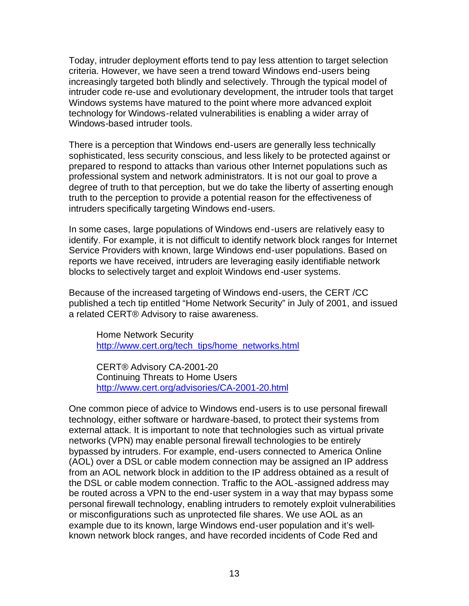Today, intruder deployment efforts tend to pay less attention to target selection criteria. However, we have seen a trend toward Windows end-users being increasingly targeted both blindly and selectively. Through the typical model of intruder code re-use and evolutionary development, the intruder tools that target Windows systems have matured to the point where more advanced exploit technology for Windows-related vulnerabilities is enabling a wider array of Windows-based intruder tools.

There is a perception that Windows end-users are generally less technically sophisticated, less security conscious, and less likely to be protected against or prepared to respond to attacks than various other Internet populations such as professional system and network administrators. It is not our goal to prove a degree of truth to that perception, but we do take the liberty of asserting enough truth to the perception to provide a potential reason for the effectiveness of intruders specifically targeting Windows end-users.

In some cases, large populations of Windows end-users are relatively easy to identify. For example, it is not difficult to identify network block ranges for Internet Service Providers with known, large Windows end-user populations. Based on reports we have received, intruders are leveraging easily identifiable network blocks to selectively target and exploit Windows end-user systems.

Because of the increased targeting of Windows end-users, the CERT /CC published a tech tip entitled "Home Network Security" in July of 2001, and issued a related CERT® Advisory to raise awareness.

Home Network Security http://www.cert.org/tech\_tips/home\_networks.html

CERT® Advisory CA-2001-20 Continuing Threats to Home Users http://www.cert.org/advisories/CA-2001-20.html

One common piece of advice to Windows end-users is to use personal firewall technology, either software or hardware-based, to protect their systems from external attack. It is important to note that technologies such as virtual private networks (VPN) may enable personal firewall technologies to be entirely bypassed by intruders. For example, end-users connected to America Online (AOL) over a DSL or cable modem connection may be assigned an IP address from an AOL network block in addition to the IP address obtained as a result of the DSL or cable modem connection. Traffic to the AOL-assigned address may be routed across a VPN to the end-user system in a way that may bypass some personal firewall technology, enabling intruders to remotely exploit vulnerabilities or misconfigurations such as unprotected file shares. We use AOL as an example due to its known, large Windows end-user population and it's wellknown network block ranges, and have recorded incidents of Code Red and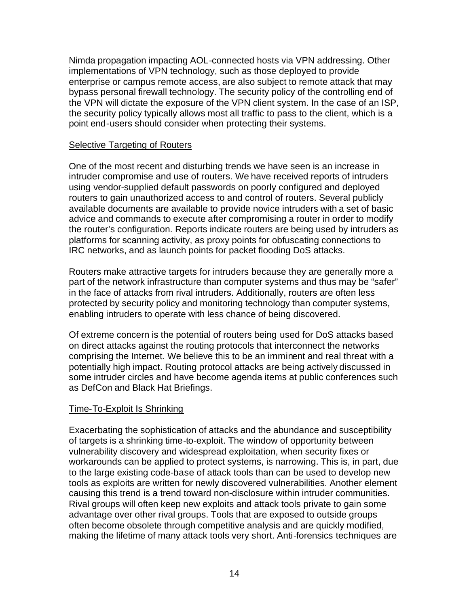Nimda propagation impacting AOL-connected hosts via VPN addressing. Other implementations of VPN technology, such as those deployed to provide enterprise or campus remote access, are also subject to remote attack that may bypass personal firewall technology. The security policy of the controlling end of the VPN will dictate the exposure of the VPN client system. In the case of an ISP, the security policy typically allows most all traffic to pass to the client, which is a point end-users should consider when protecting their systems.

## Selective Targeting of Routers

One of the most recent and disturbing trends we have seen is an increase in intruder compromise and use of routers. We have received reports of intruders using vendor-supplied default passwords on poorly configured and deployed routers to gain unauthorized access to and control of routers. Several publicly available documents are available to provide novice intruders with a set of basic advice and commands to execute after compromising a router in order to modify the router's configuration. Reports indicate routers are being used by intruders as platforms for scanning activity, as proxy points for obfuscating connections to IRC networks, and as launch points for packet flooding DoS attacks.

Routers make attractive targets for intruders because they are generally more a part of the network infrastructure than computer systems and thus may be "safer" in the face of attacks from rival intruders. Additionally, routers are often less protected by security policy and monitoring technology than computer systems, enabling intruders to operate with less chance of being discovered.

Of extreme concern is the potential of routers being used for DoS attacks based on direct attacks against the routing protocols that interconnect the networks comprising the Internet. We believe this to be an imminent and real threat with a potentially high impact. Routing protocol attacks are being actively discussed in some intruder circles and have become agenda items at public conferences such as DefCon and Black Hat Briefings.

## Time-To-Exploit Is Shrinking

Exacerbating the sophistication of attacks and the abundance and susceptibility of targets is a shrinking time-to-exploit. The window of opportunity between vulnerability discovery and widespread exploitation, when security fixes or workarounds can be applied to protect systems, is narrowing. This is, in part, due to the large existing code-base of attack tools than can be used to develop new tools as exploits are written for newly discovered vulnerabilities. Another element causing this trend is a trend toward non-disclosure within intruder communities. Rival groups will often keep new exploits and attack tools private to gain some advantage over other rival groups. Tools that are exposed to outside groups often become obsolete through competitive analysis and are quickly modified, making the lifetime of many attack tools very short. Anti-forensics techniques are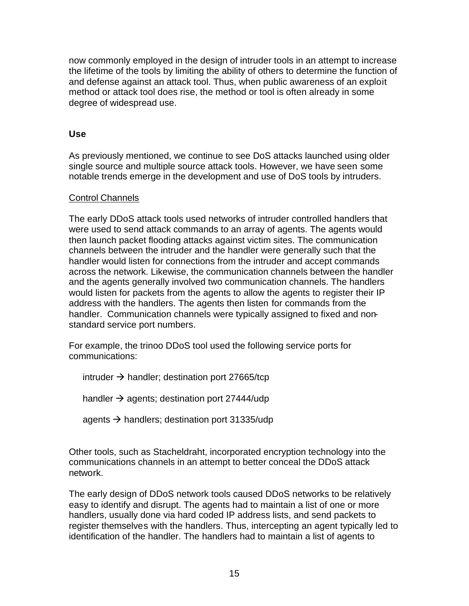now commonly employed in the design of intruder tools in an attempt to increase the lifetime of the tools by limiting the ability of others to determine the function of and defense against an attack tool. Thus, when public awareness of an exploit method or attack tool does rise, the method or tool is often already in some degree of widespread use.

## **Use**

As previously mentioned, we continue to see DoS attacks launched using older single source and multiple source attack tools. However, we have seen some notable trends emerge in the development and use of DoS tools by intruders.

## Control Channels

The early DDoS attack tools used networks of intruder controlled handlers that were used to send attack commands to an array of agents. The agents would then launch packet flooding attacks against victim sites. The communication channels between the intruder and the handler were generally such that the handler would listen for connections from the intruder and accept commands across the network. Likewise, the communication channels between the handler and the agents generally involved two communication channels. The handlers would listen for packets from the agents to allow the agents to register their IP address with the handlers. The agents then listen for commands from the handler. Communication channels were typically assigned to fixed and nonstandard service port numbers.

For example, the trinoo DDoS tool used the following service ports for communications:

intruder  $\rightarrow$  handler; destination port 27665/tcp

handler  $\rightarrow$  agents; destination port 27444/udp

agents  $\rightarrow$  handlers; destination port 31335/udp

Other tools, such as Stacheldraht, incorporated encryption technology into the communications channels in an attempt to better conceal the DDoS attack network.

The early design of DDoS network tools caused DDoS networks to be relatively easy to identify and disrupt. The agents had to maintain a list of one or more handlers, usually done via hard coded IP address lists, and send packets to register themselves with the handlers. Thus, intercepting an agent typically led to identification of the handler. The handlers had to maintain a list of agents to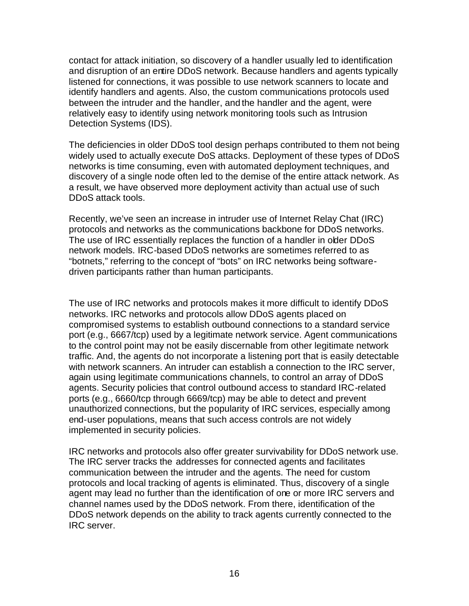contact for attack initiation, so discovery of a handler usually led to identification and disruption of an entire DDoS network. Because handlers and agents typically listened for connections, it was possible to use network scanners to locate and identify handlers and agents. Also, the custom communications protocols used between the intruder and the handler, and the handler and the agent, were relatively easy to identify using network monitoring tools such as Intrusion Detection Systems (IDS).

The deficiencies in older DDoS tool design perhaps contributed to them not being widely used to actually execute DoS attacks. Deployment of these types of DDoS networks is time consuming, even with automated deployment techniques, and discovery of a single node often led to the demise of the entire attack network. As a result, we have observed more deployment activity than actual use of such DDoS attack tools.

Recently, we've seen an increase in intruder use of Internet Relay Chat (IRC) protocols and networks as the communications backbone for DDoS networks. The use of IRC essentially replaces the function of a handler in older DDoS network models. IRC-based DDoS networks are sometimes referred to as "botnets," referring to the concept of "bots" on IRC networks being softwaredriven participants rather than human participants.

The use of IRC networks and protocols makes it more difficult to identify DDoS networks. IRC networks and protocols allow DDoS agents placed on compromised systems to establish outbound connections to a standard service port (e.g., 6667/tcp) used by a legitimate network service. Agent communications to the control point may not be easily discernable from other legitimate network traffic. And, the agents do not incorporate a listening port that is easily detectable with network scanners. An intruder can establish a connection to the IRC server, again using legitimate communications channels, to control an array of DDoS agents. Security policies that control outbound access to standard IRC-related ports (e.g., 6660/tcp through 6669/tcp) may be able to detect and prevent unauthorized connections, but the popularity of IRC services, especially among end-user populations, means that such access controls are not widely implemented in security policies.

IRC networks and protocols also offer greater survivability for DDoS network use. The IRC server tracks the addresses for connected agents and facilitates communication between the intruder and the agents. The need for custom protocols and local tracking of agents is eliminated. Thus, discovery of a single agent may lead no further than the identification of one or more IRC servers and channel names used by the DDoS network. From there, identification of the DDoS network depends on the ability to track agents currently connected to the IRC server.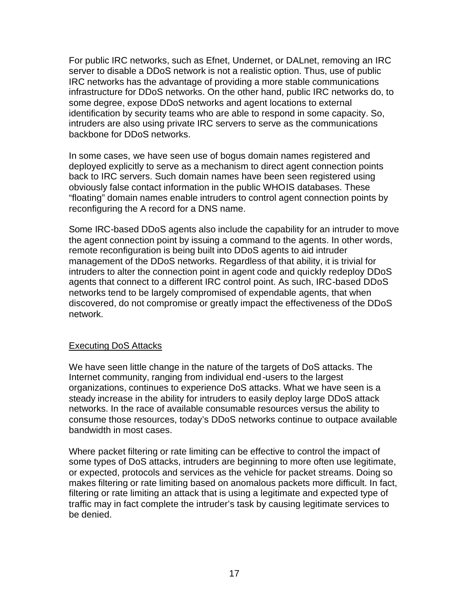For public IRC networks, such as Efnet, Undernet, or DALnet, removing an IRC server to disable a DDoS network is not a realistic option. Thus, use of public IRC networks has the advantage of providing a more stable communications infrastructure for DDoS networks. On the other hand, public IRC networks do, to some degree, expose DDoS networks and agent locations to external identification by security teams who are able to respond in some capacity. So, intruders are also using private IRC servers to serve as the communications backbone for DDoS networks.

In some cases, we have seen use of bogus domain names registered and deployed explicitly to serve as a mechanism to direct agent connection points back to IRC servers. Such domain names have been seen registered using obviously false contact information in the public WHOIS databases. These "floating" domain names enable intruders to control agent connection points by reconfiguring the A record for a DNS name.

Some IRC-based DDoS agents also include the capability for an intruder to move the agent connection point by issuing a command to the agents. In other words, remote reconfiguration is being built into DDoS agents to aid intruder management of the DDoS networks. Regardless of that ability, it is trivial for intruders to alter the connection point in agent code and quickly redeploy DDoS agents that connect to a different IRC control point. As such, IRC-based DDoS networks tend to be largely compromised of expendable agents, that when discovered, do not compromise or greatly impact the effectiveness of the DDoS network.

## Executing DoS Attacks

We have seen little change in the nature of the targets of DoS attacks. The Internet community, ranging from individual end-users to the largest organizations, continues to experience DoS attacks. What we have seen is a steady increase in the ability for intruders to easily deploy large DDoS attack networks. In the race of available consumable resources versus the ability to consume those resources, today's DDoS networks continue to outpace available bandwidth in most cases.

Where packet filtering or rate limiting can be effective to control the impact of some types of DoS attacks, intruders are beginning to more often use legitimate, or expected, protocols and services as the vehicle for packet streams. Doing so makes filtering or rate limiting based on anomalous packets more difficult. In fact, filtering or rate limiting an attack that is using a legitimate and expected type of traffic may in fact complete the intruder's task by causing legitimate services to be denied.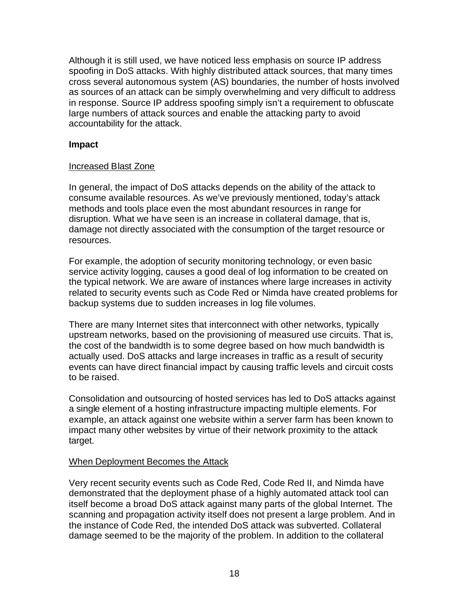Although it is still used, we have noticed less emphasis on source IP address spoofing in DoS attacks. With highly distributed attack sources, that many times cross several autonomous system (AS) boundaries, the number of hosts involved as sources of an attack can be simply overwhelming and very difficult to address in response. Source IP address spoofing simply isn't a requirement to obfuscate large numbers of attack sources and enable the attacking party to avoid accountability for the attack.

## **Impact**

## Increased Blast Zone

In general, the impact of DoS attacks depends on the ability of the attack to consume available resources. As we've previously mentioned, today's attack methods and tools place even the most abundant resources in range for disruption. What we have seen is an increase in collateral damage, that is, damage not directly associated with the consumption of the target resource or resources.

For example, the adoption of security monitoring technology, or even basic service activity logging, causes a good deal of log information to be created on the typical network. We are aware of instances where large increases in activity related to security events such as Code Red or Nimda have created problems for backup systems due to sudden increases in log file volumes.

There are many Internet sites that interconnect with other networks, typically upstream networks, based on the provisioning of measured use circuits. That is, the cost of the bandwidth is to some degree based on how much bandwidth is actually used. DoS attacks and large increases in traffic as a result of security events can have direct financial impact by causing traffic levels and circuit costs to be raised.

Consolidation and outsourcing of hosted services has led to DoS attacks against a single element of a hosting infrastructure impacting multiple elements. For example, an attack against one website within a server farm has been known to impact many other websites by virtue of their network proximity to the attack target.

## When Deployment Becomes the Attack

Very recent security events such as Code Red, Code Red II, and Nimda have demonstrated that the deployment phase of a highly automated attack tool can itself become a broad DoS attack against many parts of the global Internet. The scanning and propagation activity itself does not present a large problem. And in the instance of Code Red, the intended DoS attack was subverted. Collateral damage seemed to be the majority of the problem. In addition to the collateral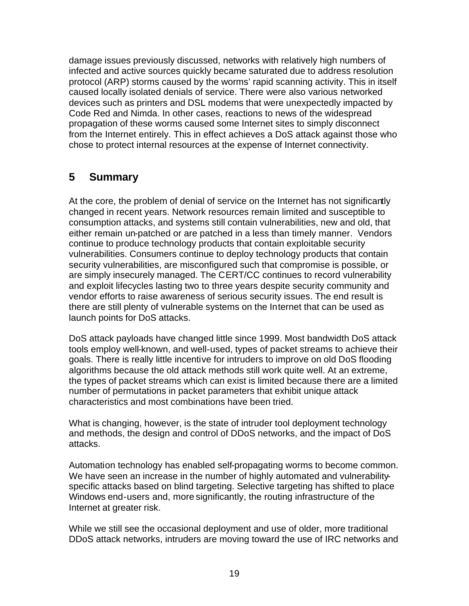damage issues previously discussed, networks with relatively high numbers of infected and active sources quickly became saturated due to address resolution protocol (ARP) storms caused by the worms' rapid scanning activity. This in itself caused locally isolated denials of service. There were also various networked devices such as printers and DSL modems that were unexpectedly impacted by Code Red and Nimda. In other cases, reactions to news of the widespread propagation of these worms caused some Internet sites to simply disconnect from the Internet entirely. This in effect achieves a DoS attack against those who chose to protect internal resources at the expense of Internet connectivity.

## **5 Summary**

At the core, the problem of denial of service on the Internet has not significantly changed in recent years. Network resources remain limited and susceptible to consumption attacks, and systems still contain vulnerabilities, new and old, that either remain un-patched or are patched in a less than timely manner. Vendors continue to produce technology products that contain exploitable security vulnerabilities. Consumers continue to deploy technology products that contain security vulnerabilities, are misconfigured such that compromise is possible, or are simply insecurely managed. The CERT/CC continues to record vulnerability and exploit lifecycles lasting two to three years despite security community and vendor efforts to raise awareness of serious security issues. The end result is there are still plenty of vulnerable systems on the Internet that can be used as launch points for DoS attacks.

DoS attack payloads have changed little since 1999. Most bandwidth DoS attack tools employ well-known, and well-used, types of packet streams to achieve their goals. There is really little incentive for intruders to improve on old DoS flooding algorithms because the old attack methods still work quite well. At an extreme, the types of packet streams which can exist is limited because there are a limited number of permutations in packet parameters that exhibit unique attack characteristics and most combinations have been tried.

What is changing, however, is the state of intruder tool deployment technology and methods, the design and control of DDoS networks, and the impact of DoS attacks.

Automation technology has enabled self-propagating worms to become common. We have seen an increase in the number of highly automated and vulnerabilityspecific attacks based on blind targeting. Selective targeting has shifted to place Windows end-users and, more significantly, the routing infrastructure of the Internet at greater risk.

While we still see the occasional deployment and use of older, more traditional DDoS attack networks, intruders are moving toward the use of IRC networks and